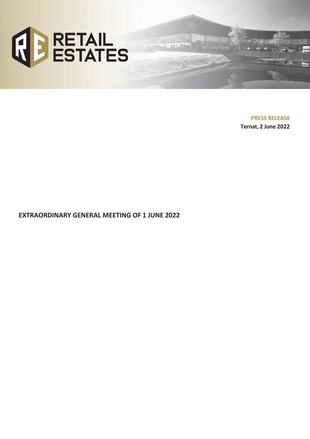

**PRESS RELEASE Ternat, 2 June 2022**

an we

**EXTRAORDINARY GENERAL MEETING OF 1 JUNE 2022**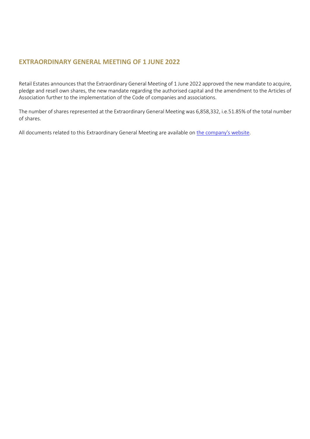# **EXTRAORDINARY GENERAL MEETING OF 1 JUNE 2022**

Retail Estates announces that the Extraordinary General Meeting of 1 June 2022 approved the new mandate to acquire, pledge and resell own shares, the new mandate regarding the authorised capital and the amendment to the Articles of Association further to the implementation of the Code of companies and associations.

The number of shares represented at the Extraordinary General Meeting was 6,858,332, i.e.51.85% of the total number of shares.

All documents related to this Extraordinary General Meeting are available on [the company's website.](https://www.retailestates.com/en/investors/shareholders-agenda/extraordinary-general-meeting)